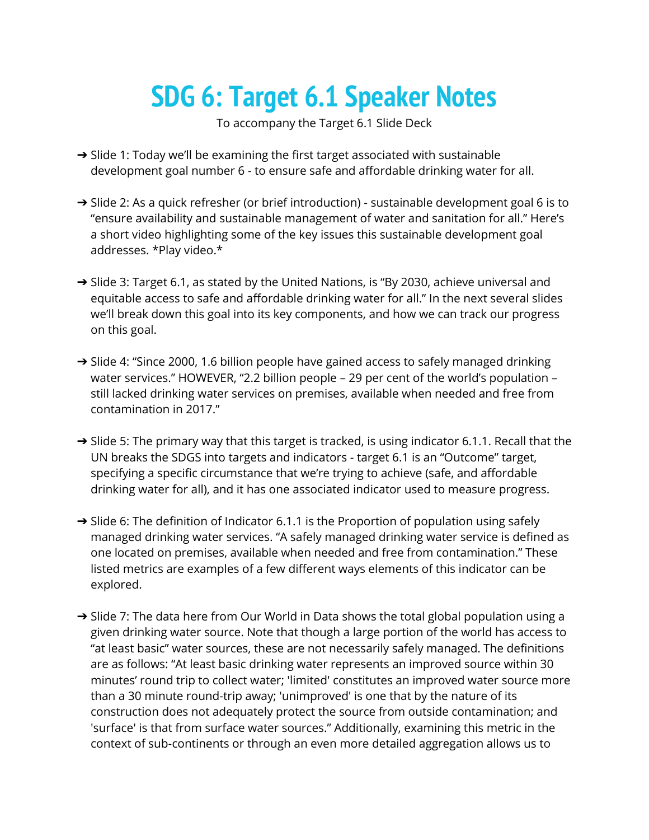## **SDG 6: Target 6.1 Speaker Notes**

To accompany the Target 6.1 Slide Deck

- → Slide 1: Today we'll be examining the first target associated with sustainable development goal number 6 - to ensure safe and affordable drinking water for all.
- → Slide 2: As a quick refresher (or brief introduction) sustainable development goal 6 is to "ensure availability and sustainable management of water and sanitation for all." Here's a short video highlighting some of the key issues this sustainable development goal addresses. \*Play video.\*
- $\rightarrow$  Slide 3: Target 6.1, as stated by the United Nations, is "By 2030, achieve universal and equitable access to safe and affordable drinking water for all." In the next several slides we'll break down this goal into its key components, and how we can track our progress on this goal.
- → Slide 4: "Since 2000, 1.6 billion people have gained access to safely managed drinking water services." HOWEVER, "2.2 billion people – 29 per cent of the world's population – still lacked drinking water services on premises, available when needed and free from contamination in 2017."
- → Slide 5: The primary way that this target is tracked, is using indicator 6.1.1. Recall that the UN breaks the SDGS into targets and indicators - target 6.1 is an "Outcome" target, specifying a specific circumstance that we're trying to achieve (safe, and affordable drinking water for all), and it has one associated indicator used to measure progress.
- $\rightarrow$  Slide 6: The definition of Indicator 6.1.1 is the Proportion of population using safely managed drinking water services. "A safely managed drinking water service is defined as one located on premises, available when needed and free from contamination." These listed metrics are examples of a few different ways elements of this indicator can be explored.
- → Slide 7: The data here from Our World in Data shows the total global population using a given drinking water source. Note that though a large portion of the world has access to "at least basic" water sources, these are not necessarily safely managed. The definitions are as follows: "At least basic drinking water represents an improved source within 30 minutes' round trip to collect water; 'limited' constitutes an improved water source more than a 30 minute round-trip away; 'unimproved' is one that by the nature of its construction does not adequately protect the source from outside contamination; and 'surface' is that from surface water sources." Additionally, examining this metric in the context of sub-continents or through an even more detailed aggregation allows us to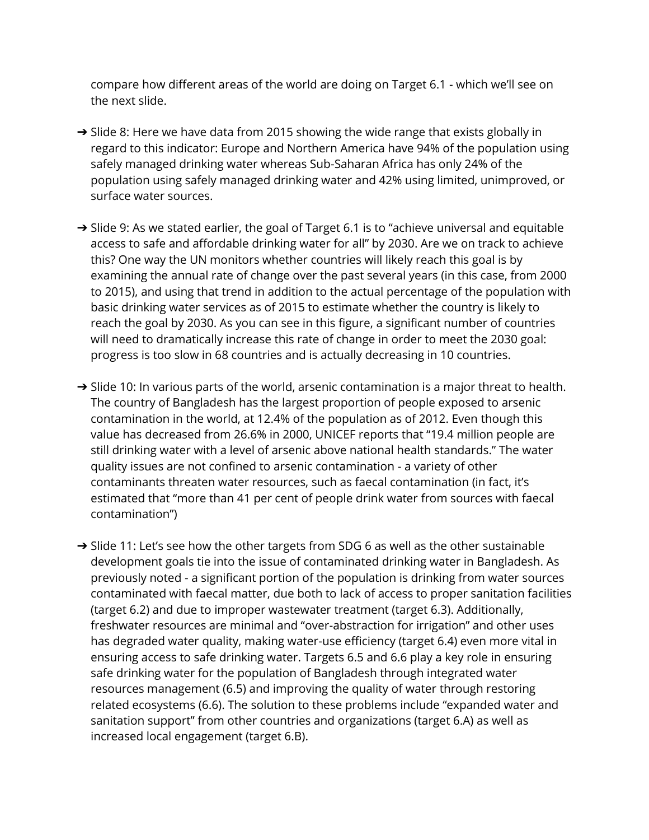compare how different areas of the world are doing on Target 6.1 - which we'll see on the next slide.

- → Slide 8: Here we have data from 2015 showing the wide range that exists globally in regard to this indicator: Europe and Northern America have 94% of the population using safely managed drinking water whereas Sub-Saharan Africa has only 24% of the population using safely managed drinking water and 42% using limited, unimproved, or surface water sources.
- → Slide 9: As we stated earlier, the goal of Target 6.1 is to "achieve universal and equitable access to safe and affordable drinking water for all" by 2030. Are we on track to achieve this? One way the UN monitors whether countries will likely reach this goal is by examining the annual rate of change over the past several years (in this case, from 2000 to 2015), and using that trend in addition to the actual percentage of the population with basic drinking water services as of 2015 to estimate whether the country is likely to reach the goal by 2030. As you can see in this figure, a significant number of countries will need to dramatically increase this rate of change in order to meet the 2030 goal: progress is too slow in 68 countries and is actually decreasing in 10 countries.
- → Slide 10: In various parts of the world, arsenic contamination is a major threat to health. The country of Bangladesh has the largest proportion of people exposed to arsenic contamination in the world, at 12.4% of the population as of 2012. Even though this value has decreased from 26.6% in 2000, UNICEF reports that "19.4 million people are still drinking water with a level of arsenic above national health standards." The water quality issues are not confined to arsenic contamination - a variety of other contaminants threaten water resources, such as faecal contamination (in fact, it's estimated that "more than 41 per cent of people drink water from sources with faecal contamination")
- → Slide 11: Let's see how the other targets from SDG 6 as well as the other sustainable development goals tie into the issue of contaminated drinking water in Bangladesh. As previously noted - a significant portion of the population is drinking from water sources contaminated with faecal matter, due both to lack of access to proper sanitation facilities (target 6.2) and due to improper wastewater treatment (target 6.3). Additionally, freshwater resources are minimal and "over-abstraction for irrigation" and other uses has degraded water quality, making water-use efficiency (target 6.4) even more vital in ensuring access to safe drinking water. Targets 6.5 and 6.6 play a key role in ensuring safe drinking water for the population of Bangladesh through integrated water resources management (6.5) and improving the quality of water through restoring related ecosystems (6.6). The solution to these problems include "expanded water and sanitation support" from other countries and organizations (target 6.A) as well as increased local engagement (target 6.B).